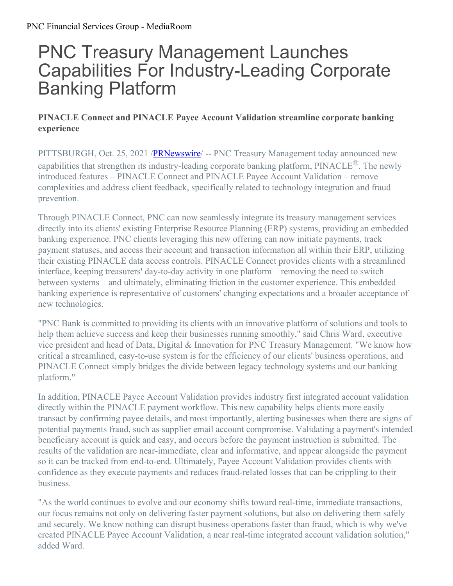## PNC Treasury Management Launches Capabilities For Industry-Leading Corporate Banking Platform

## **PINACLE Connect and PINACLE Payee Account Validation streamline corporate banking experience**

PITTSBURGH, Oct. 25, 2021 /**PRNewswire** -- PNC Treasury Management today announced new capabilities that strengthen its industry-leading corporate banking platform, PINACLE®. The newly introduced features – PINACLE Connect and PINACLE Payee Account Validation – remove complexities and address client feedback, specifically related to technology integration and fraud prevention.

Through PINACLE Connect, PNC can now seamlessly integrate its treasury management services directly into its clients' existing Enterprise Resource Planning (ERP) systems, providing an embedded banking experience. PNC clients leveraging this new offering can now initiate payments, track payment statuses, and access their account and transaction information all within their ERP, utilizing their existing PINACLE data access controls. PINACLE Connect provides clients with a streamlined interface, keeping treasurers' day-to-day activity in one platform – removing the need to switch between systems – and ultimately, eliminating friction in the customer experience. This embedded banking experience is representative of customers' changing expectations and a broader acceptance of new technologies.

"PNC Bank is committed to providing its clients with an innovative platform of solutions and tools to help them achieve success and keep their businesses running smoothly," said Chris Ward, executive vice president and head of Data, Digital & Innovation for PNC Treasury Management. "We know how critical a streamlined, easy-to-use system is for the efficiency of our clients' business operations, and PINACLE Connect simply bridges the divide between legacy technology systems and our banking platform."

In addition, PINACLE Payee Account Validation provides industry first integrated account validation directly within the PINACLE payment workflow. This new capability helps clients more easily transact by confirming payee details, and most importantly, alerting businesses when there are signs of potential payments fraud, such as supplier email account compromise. Validating a payment's intended beneficiary account is quick and easy, and occurs before the payment instruction is submitted. The results of the validation are near-immediate, clear and informative, and appear alongside the payment so it can be tracked from end-to-end. Ultimately, Payee Account Validation provides clients with confidence as they execute payments and reduces fraud-related losses that can be crippling to their business.

"As the world continues to evolve and our economy shifts toward real-time, immediate transactions, our focus remains not only on delivering faster payment solutions, but also on delivering them safely and securely. We know nothing can disrupt business operations faster than fraud, which is why we've created PINACLE Payee Account Validation, a near real-time integrated account validation solution," added Ward.